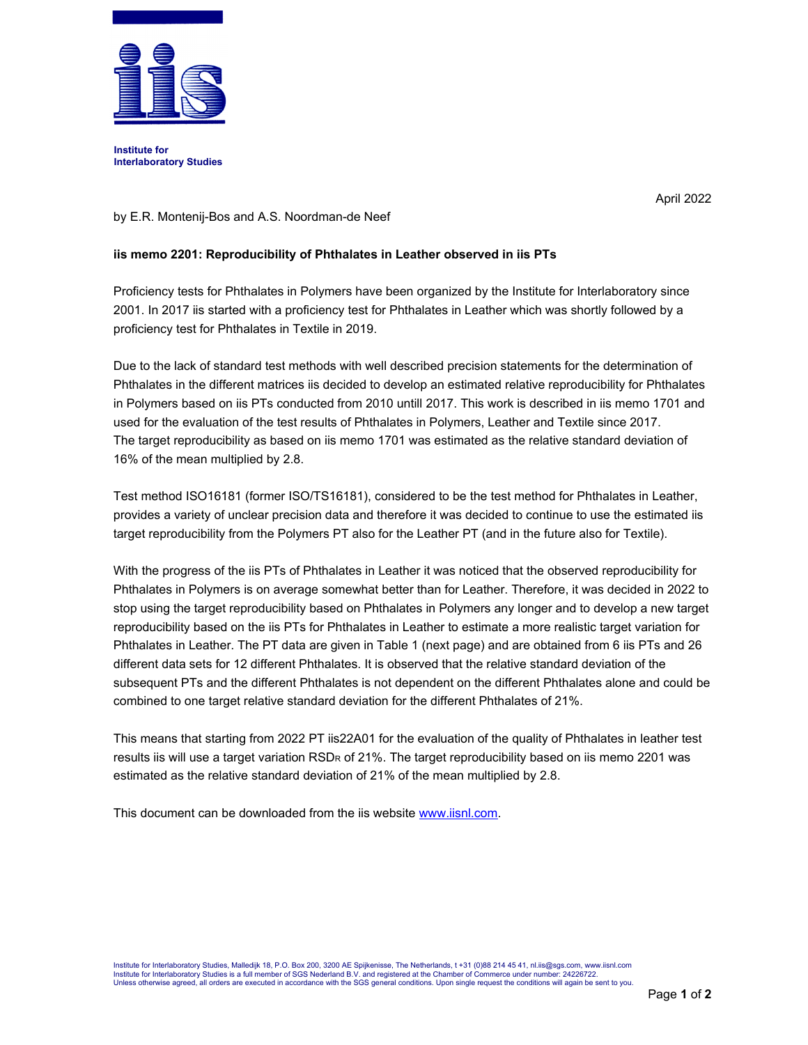

**Institute for Interlaboratory Studies** 

April 2022

## by E.R. Montenij-Bos and A.S. Noordman-de Neef

## **iis memo 2201: Reproducibility of Phthalates in Leather observed in iis PTs**

Proficiency tests for Phthalates in Polymers have been organized by the Institute for Interlaboratory since 2001. In 2017 iis started with a proficiency test for Phthalates in Leather which was shortly followed by a proficiency test for Phthalates in Textile in 2019.

Due to the lack of standard test methods with well described precision statements for the determination of Phthalates in the different matrices iis decided to develop an estimated relative reproducibility for Phthalates in Polymers based on iis PTs conducted from 2010 untill 2017. This work is described in iis memo 1701 and used for the evaluation of the test results of Phthalates in Polymers, Leather and Textile since 2017. The target reproducibility as based on iis memo 1701 was estimated as the relative standard deviation of 16% of the mean multiplied by 2.8.

Test method ISO16181 (former ISO/TS16181), considered to be the test method for Phthalates in Leather, provides a variety of unclear precision data and therefore it was decided to continue to use the estimated iis target reproducibility from the Polymers PT also for the Leather PT (and in the future also for Textile).

With the progress of the iis PTs of Phthalates in Leather it was noticed that the observed reproducibility for Phthalates in Polymers is on average somewhat better than for Leather. Therefore, it was decided in 2022 to stop using the target reproducibility based on Phthalates in Polymers any longer and to develop a new target reproducibility based on the iis PTs for Phthalates in Leather to estimate a more realistic target variation for Phthalates in Leather. The PT data are given in Table 1 (next page) and are obtained from 6 iis PTs and 26 different data sets for 12 different Phthalates. It is observed that the relative standard deviation of the subsequent PTs and the different Phthalates is not dependent on the different Phthalates alone and could be combined to one target relative standard deviation for the different Phthalates of 21%.

This means that starting from 2022 PT iis22A01 for the evaluation of the quality of Phthalates in leather test results iis will use a target variation RSD<sub>R</sub> of 21%. The target reproducibility based on iis memo 2201 was estimated as the relative standard deviation of 21% of the mean multiplied by 2.8.

This document can be downloaded from the iis website www.iisnl.com.